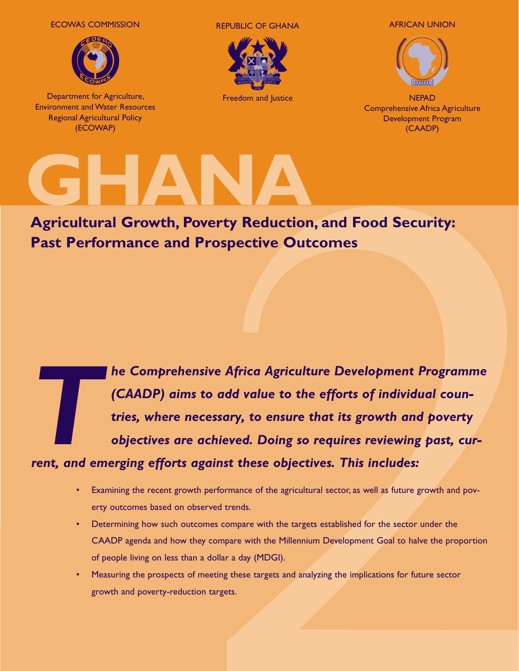ECOWAS COMMISSION



Department for Agriculture, Environment and Water Resources Regional Agricultural Policy (ECOWAP)

REPUBLIC OF GHANA AFRICAN UNION



Freedom and Justice



**NEPAD** Comprehensive Africa Agriculture Development Program (CAADP)

# **GHANA**

**Agricultural Growth, Poverty Reduction, and Food Security: Past Performance and Prospective Outcomes**

**The Comprehensive Africa Agriculture Development Programme (CAADP) aims to add value to the efforts of individual countries, where necessary, to ensure that its growth and poverty objectives are achieved. Doing so require** *(CAADP) aims to add value to the efforts of individual countries, where necessary, to ensure that its growth and poverty objectives are achieved. Doing so requires reviewing past, cur-*

## *rent, and emerging efforts against these objectives. This includes:*

- Examining the recent growth performance of the agricultural sector, as well as future growth and poverty outcomes based on observed trends.
- Determining how such outcomes compare with the targets established for the sector under the CAADP agenda and how they compare with the Millennium Development Goal to halve the proportion of people living on less than a dollar a day (MDGI).
- Measuring the prospects of meeting these targets and analyzing the implications for future sector growth and poverty-reduction targets.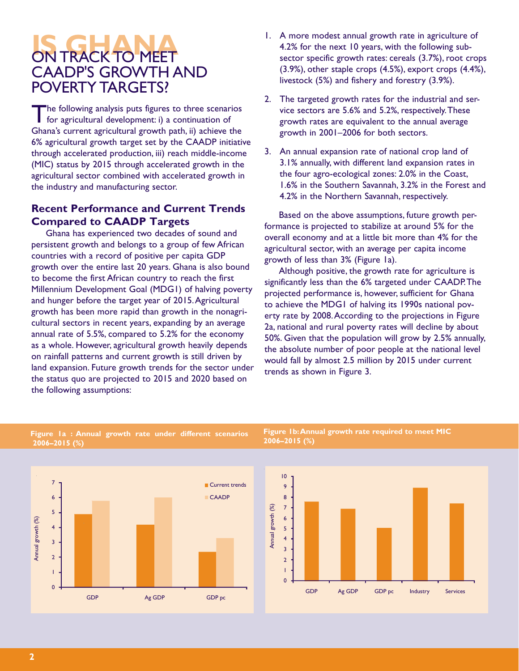# *<u>ON TRACK TO MEET</u>* CAADP'S GROWTH AND POVERTY TARGETS?

The following analysis puts figures to three scenarios<br>for agricultural development: i) a continuation of Ghana's current agricultural growth path, ii) achieve the 6% agricultural growth target set by the CAADP initiative through accelerated production, iii) reach middle-income (MIC) status by 2015 through accelerated growth in the agricultural sector combined with accelerated growth in the industry and manufacturing sector.

#### **Recent Performance and Current Trends Compared to CAADP Targets**

Ghana has experienced two decades of sound and persistent growth and belongs to a group of few African countries with a record of positive per capita GDP growth over the entire last 20 years. Ghana is also bound to become the first African country to reach the first Millennium Development Goal (MDG1) of halving poverty and hunger before the target year of 2015. Agricultural growth has been more rapid than growth in the nonagricultural sectors in recent years, expanding by an average annual rate of 5.5%, compared to 5.2% for the economy as a whole. However, agricultural growth heavily depends on rainfall patterns and current growth is still driven by land expansion. Future growth trends for the sector under the status quo are projected to 2015 and 2020 based on the following assumptions:

- 1. A more modest annual growth rate in agriculture of 4.2% for the next 10 years, with the following subsector specific growth rates: cereals (3.7%), root crops (3.9%), other staple crops (4.5%), export crops (4.4%), livestock (5%) and fishery and forestry (3.9%).
- 2. The targeted growth rates for the industrial and service sectors are 5.6% and 5.2%, respectively. These growth rates are equivalent to the annual average growth in 2001–2006 for both sectors.
- 3. An annual expansion rate of national crop land of 3.1% annually, with different land expansion rates in the four agro-ecological zones: 2.0% in the Coast, 1.6% in the Southern Savannah, 3.2% in the Forest and 4.2% in the Northern Savannah, respectively.

Based on the above assumptions, future growth performance is projected to stabilize at around 5% for the overall economy and at a little bit more than 4% for the agricultural sector, with an average per capita income growth of less than 3% (Figure 1a).

Although positive, the growth rate for agriculture is significantly less than the 6% targeted under CAADP. The projected performance is, however, sufficient for Ghana to achieve the MDG1 of halving its 1990s national poverty rate by 2008. According to the projections in Figure 2a, national and rural poverty rates will decline by about 50%. Given that the population will grow by 2.5% annually, the absolute number of poor people at the national level would fall by almost 2.5 million by 2015 under current trends as shown in Figure 3.



**Figure 1a : Annual growth rate under different scenarios 2006–2015 (%)**

#### **Figure 1b: Annual growth rate required to meet MIC 2006–2015 (%)**

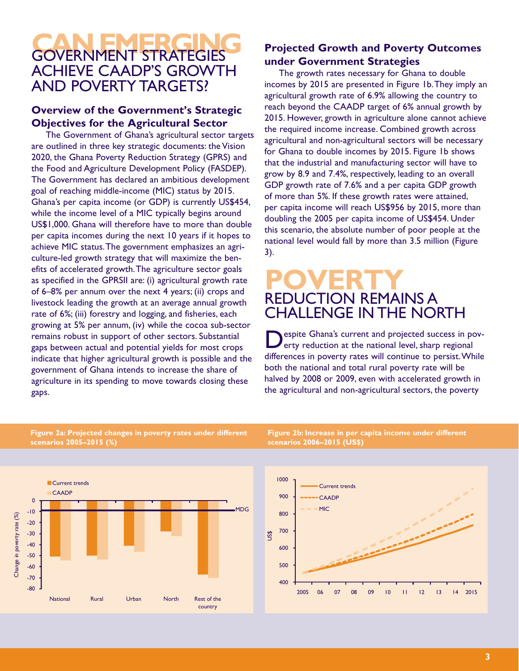# **GOVERNMENT STRATEGIES** ACHIEVE CAADP'S GROWTH AND POVERTY TARGETS?

### **Overview of the Government's Strategic Objectives for the Agricultural Sector**

The Government of Ghana's agricultural sector targets are outlined in three key strategic documents: the Vision 2020, the Ghana Poverty Reduction Strategy (GPRS) and the Food and Agriculture Development Policy (FASDEP). The Government has declared an ambitious development goal of reaching middle-income (MIC) status by 2015. Ghana's per capita income (or GDP) is currently US\$454, while the income level of a MIC typically begins around US\$1,000. Ghana will therefore have to more than double per capita incomes during the next 10 years if it hopes to achieve MIC status. The government emphasizes an agriculture-led growth strategy that will maximize the benefits of accelerated growth. The agriculture sector goals as specified in the GPRSII are: (i) agricultural growth rate of 6–8% per annum over the next 4 years; (ii) crops and livestock leading the growth at an average annual growth rate of 6%; (iii) forestry and logging, and fisheries, each growing at 5% per annum, (iv) while the cocoa sub-sector remains robust in support of other sectors. Substantial gaps between actual and potential yields for most crops indicate that higher agricultural growth is possible and the government of Ghana intends to increase the share of agriculture in its spending to move towards closing these gaps.

## **Projected Growth and Poverty Outcomes under Government Strategies**

The growth rates necessary for Ghana to double incomes by 2015 are presented in Figure 1b. They imply an agricultural growth rate of 6.9% allowing the country to reach beyond the CAADP target of 6% annual growth by 2015. However, growth in agriculture alone cannot achieve the required income increase. Combined growth across agricultural and non-agricultural sectors will be necessary for Ghana to double incomes by 2015. Figure 1b shows that the industrial and manufacturing sector will have to grow by 8.9 and 7.4%, respectively, leading to an overall GDP growth rate of 7.6% and a per capita GDP growth of more than 5%. If these growth rates were attained, per capita income will reach US\$956 by 2015, more than doubling the 2005 per capita income of US\$454. Under this scenario, the absolute number of poor people at the national level would fall by more than 3.5 million (Figure 3).

## **POVERTY**  REDUCTION REMAINS A CHALLENGE IN THE NORTH

espite Ghana's current and projected success in poverty reduction at the national level, sharp regional differences in poverty rates will continue to persist. While both the national and total rural poverty rate will be halved by 2008 or 2009, even with accelerated growth in the agricultural and non-agricultural sectors, the poverty

#### **Figure 2a: Projected changes in poverty rates under different scenarios 2005–2015 (%)**



**Figure 2b: Increase in per capita income under different scenarios 2006–2015 (US\$)**